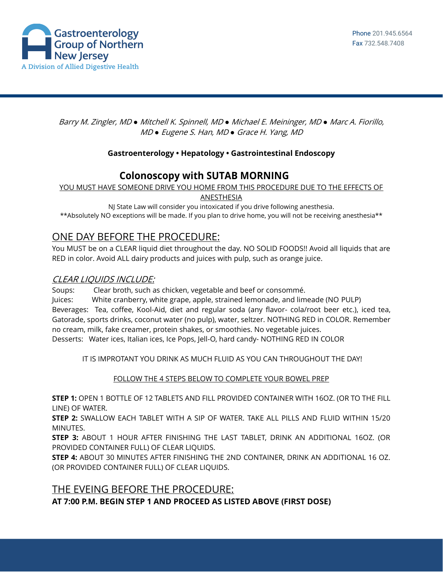

Barry M. Zingler, MD *●* Mitchell K. Spinnell, MD *●* Michael E. Meininger, MD *●* Marc A. Fiorillo, MD *●* Eugene S. Han, MD *●* Grace H. Yang, MD

#### **Gastroenterology • Hepatology • Gastrointestinal Endoscopy**

# **Colonoscopy with SUTAB MORNING**

YOU MUST HAVE SOMEONE DRIVE YOU HOME FROM THIS PROCEDURE DUE TO THE EFFECTS OF

ANESTHESIA

NJ State Law will consider you intoxicated if you drive following anesthesia. \*\*Absolutely NO exceptions will be made. If you plan to drive home, you will not be receiving anesthesia\*\*

## ONE DAY BEFORE THE PROCEDURE:

You MUST be on a CLEAR liquid diet throughout the day. NO SOLID FOODS!! Avoid all liquids that are RED in color. Avoid ALL dairy products and juices with pulp, such as orange juice.

### CLEAR LIQUIDS INCLUDE:

Soups: Clear broth, such as chicken, vegetable and beef or consommé.

Juices: White cranberry, white grape, apple, strained lemonade, and limeade (NO PULP) Beverages: Tea, coffee, Kool-Aid, diet and regular soda (any flavor- cola/root beer etc.), iced tea, Gatorade, sports drinks, coconut water (no pulp), water, seltzer. NOTHING RED in COLOR. Remember no cream, milk, fake creamer, protein shakes, or smoothies. No vegetable juices. Desserts: Water ices, Italian ices, Ice Pops, Jell-O, hard candy- NOTHING RED IN COLOR

IT IS IMPROTANT YOU DRINK AS MUCH FLUID AS YOU CAN THROUGHOUT THE DAY!

FOLLOW THE 4 STEPS BELOW TO COMPLETE YOUR BOWEL PREP

**STEP 1:** OPEN 1 BOTTLE OF 12 TABLETS AND FILL PROVIDED CONTAINER WITH 16OZ. (OR TO THE FILL LINE) OF WATER.

**STEP 2:** SWALLOW EACH TABLET WITH A SIP OF WATER. TAKE ALL PILLS AND FLUID WITHIN 15/20 MINUTES.

**STEP 3:** ABOUT 1 HOUR AFTER FINISHING THE LAST TABLET, DRINK AN ADDITIONAL 16OZ. (OR PROVIDED CONTAINER FULL) OF CLEAR LIQUIDS.

**STEP 4:** ABOUT 30 MINUTES AFTER FINISHING THE 2ND CONTAINER, DRINK AN ADDITIONAL 16 OZ. (OR PROVIDED CONTAINER FULL) OF CLEAR LIQUIDS.

## THE EVEING BEFORE THE PROCEDURE: **AT 7:00 P.M. BEGIN STEP 1 AND PROCEED AS LISTED ABOVE (FIRST DOSE)**